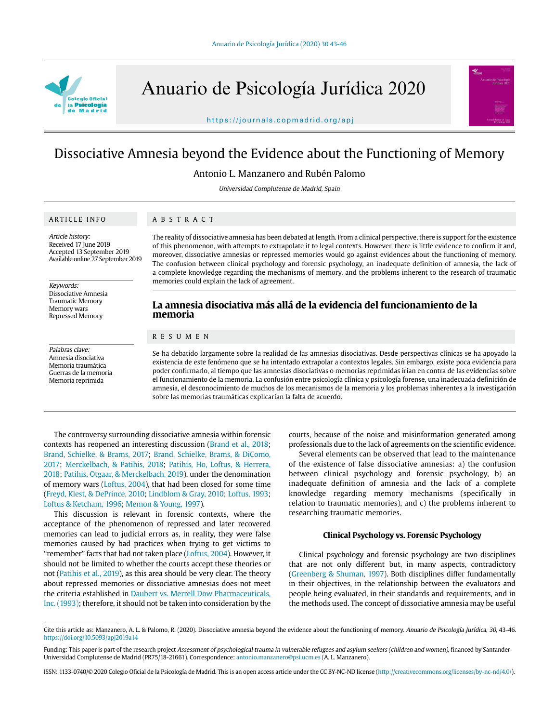

Anuario de Psicología Jurídica 2020

https://journals.copmadrid.org/apj



Antonio L. Manzanero and Rubén Palomo

Universidad Complutense de Madrid, Spain

### ARTICLE INFO

# ABSTRACT

Article history: Received 17 June 2019 Accepted 13 September 2019 Available online 27 September 2019

Keywords: Dissociative Amnesia Traumatic Memory Memory wars Repressed Memory

Palabras clave: Amnesia disociativa Memoria traumática Guerras de la memoria Memoria reprimida

### The reality of dissociative amnesia has been debated at length. From a clinical perspective, there is support for the existence of this phenomenon, with attempts to extrapolate it to legal contexts. However, there is little evidence to confirm it and, moreover, dissociative amnesias or repressed memories would go against evidences about the functioning of memory. The confusion between clinical psychology and forensic psychology, an inadequate definition of amnesia, the lack of a complete knowledge regarding the mechanisms of memory, and the problems inherent to the research of traumatic memories could explain the lack of agreement.

# **La amnesia disociativa más allá de la evidencia del funcionamiento de la memoria**

## RESUMEN

Se ha debatido largamente sobre la realidad de las amnesias disociativas. Desde perspectivas clínicas se ha apoyado la existencia de este fenómeno que se ha intentado extrapolar a contextos legales. Sin embargo, existe poca evidencia para poder confirmarlo, al tiempo que las amnesias disociativas o memorias reprimidas irían en contra de las evidencias sobre el funcionamiento de la memoria. La confusión entre psicología clínica y psicología forense, una inadecuada definición de amnesia, el desconocimiento de muchos de los mecanismos de la memoria y los problemas inherentes a la investigación sobre las memorias traumáticas explicarían la falta de acuerdo.

The controversy surrounding dissociative amnesia within forensic contexts has reopened an interesting discussion (Brand et al., 2018; Brand, Schielke, & Brams, 2017; Brand, Schielke, Brams, & DiComo, 2017; Merckelbach, & Patihis, 2018; Patihis, Ho, Loftus, & Herrera, 2018; Patihis, Otgaar, & Merckelbach, 2019), under the denomination of memory wars (Loftus, 2004), that had been closed for some time (Freyd, Klest, & DePrince, 2010; Lindblom & Gray, 2010; Loftus, 1993; Loftus & Ketcham, 1996; Memon & Young, 1997).

This discussion is relevant in forensic contexts, where the acceptance of the phenomenon of repressed and later recovered memories can lead to judicial errors as, in reality, they were false memories caused by bad practices when trying to get victims to "remember" facts that had not taken place (Loftus, 2004). However, it should not be limited to whether the courts accept these theories or not (Patihis et al., 2019), as this area should be very clear. The theory about repressed memories or dissociative amnesias does not meet the criteria established in Daubert vs. Merrell Dow Pharmaceuticals, Inc. (1993); therefore, it should not be taken into consideration by the

courts, because of the noise and misinformation generated among professionals due to the lack of agreements on the scientific evidence.

Several elements can be observed that lead to the maintenance of the existence of false dissociative amnesias: a) the confusion between clinical psychology and forensic psychology, b) an inadequate definition of amnesia and the lack of a complete knowledge regarding memory mechanisms (specifically in relation to traumatic memories), and c) the problems inherent to researching traumatic memories.

### **Clinical Psychology vs. Forensic Psychology**

Clinical psychology and forensic psychology are two disciplines that are not only different but, in many aspects, contradictory (Greenberg & Shuman, 1997). Both disciplines differ fundamentally in their objectives, in the relationship between the evaluators and people being evaluated, in their standards and requirements, and in the methods used. The concept of dissociative amnesia may be useful

ISSN: 1133-0740/© 2020 Colegio Oficial de la Psicología de Madrid. This is an open access article under the CC BY-NC-ND license (http://creativecommons.org/licenses/by-nc-nd/4.0/).

Cite this article as: Manzanero, A. L. & Palomo, R. (2020). Dissociative amnesia beyond the evidence about the functioning of memory. Anuario de Psicología Jurídica, 30, 43-46. https://doi.org/10.5093/apj2019a14

Funding: This paper is part of the research project Assessment of psychological trauma in vulnerable refugees and asylum seekers (children and women), financed by Santander-Universidad Complutense de Madrid (PR75/18-21661). Correspondence: antonio.manzanero@psi.ucm.es (A. L. Manzanero).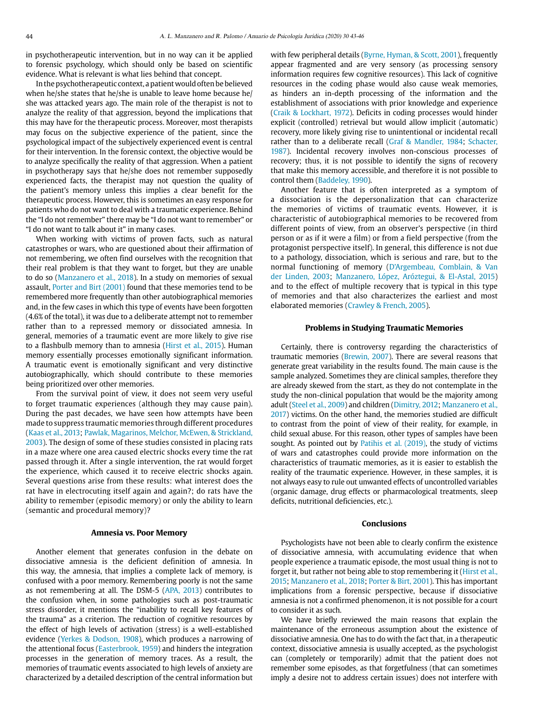in psychotherapeutic intervention, but in no way can it be applied to forensic psychology, which should only be based on scientific evidence. What is relevant is what lies behind that concept.

In the psychotherapeutic context, a patient would often be believed when he/she states that he/she is unable to leave home because he/ she was attacked years ago. The main role of the therapist is not to analyze the reality of that aggression, beyond the implications that this may have for the therapeutic process. Moreover, most therapists may focus on the subjective experience of the patient, since the psychological impact of the subjectively experienced event is central for their intervention. In the forensic context, the objective would be to analyze specifically the reality of that aggression. When a patient in psychotherapy says that he/she does not remember supposedly experienced facts, the therapist may not question the quality of the patient's memory unless this implies a clear benefit for the therapeutic process. However, this is sometimes an easy response for patients who do not want to deal with a traumatic experience. Behind the "I do not remember" there may be "I do not want to remember" or "I do not want to talk about it" in many cases.

When working with victims of proven facts, such as natural catastrophes or wars, who are questioned about their affirmation of not remembering, we often find ourselves with the recognition that their real problem is that they want to forget, but they are unable to do so (Manzanero et al., 2018). In a study on memories of sexual assault, Porter and Birt (2001) found that these memories tend to be remembered more frequently than other autobiographical memories and, in the few cases in which this type of events have been forgotten (4.6% of the total), it was due to a deliberate attempt not to remember rather than to a repressed memory or dissociated amnesia. In general, memories of a traumatic event are more likely to give rise to a flashbulb memory than to amnesia (Hirst et al., 2015). Human memory essentially processes emotionally significant information. A traumatic event is emotionally significant and very distinctive autobiographically, which should contribute to these memories being prioritized over other memories.

From the survival point of view, it does not seem very useful to forget traumatic experiences (although they may cause pain). During the past decades, we have seen how attempts have been made to suppress traumatic memories through different procedures (Kaas et al., 2013; Pawlak, Magarinos, Melchor, McEwen, & Strickland, 2003). The design of some of these studies consisted in placing rats in a maze where one area caused electric shocks every time the rat passed through it. After a single intervention, the rat would forget the experience, which caused it to receive electric shocks again. Several questions arise from these results: what interest does the rat have in electrocuting itself again and again?; do rats have the ability to remember (episodic memory) or only the ability to learn (semantic and procedural memory)?

### **Amnesia vs. Poor Memory**

Another element that generates confusion in the debate on dissociative amnesia is the deficient definition of amnesia. In this way, the amnesia, that implies a complete lack of memory, is confused with a poor memory. Remembering poorly is not the same as not remembering at all. The DSM-5 (APA, 2013) contributes to the confusion when, in some pathologies such as post-traumatic stress disorder, it mentions the "inability to recall key features of the trauma" as a criterion. The reduction of cognitive resources by the effect of high levels of activation (stress) is a well-established evidence (Yerkes & Dodson, 1908), which produces a narrowing of the attentional focus (Easterbrook, 1959) and hinders the integration processes in the generation of memory traces. As a result, the memories of traumatic events associated to high levels of anxiety are characterized by a detailed description of the central information but with few peripheral details (Byrne, Hyman, & Scott, 2001), frequently appear fragmented and are very sensory (as processing sensory information requires few cognitive resources). This lack of cognitive resources in the coding phase would also cause weak memories, as hinders an in-depth processing of the information and the establishment of associations with prior knowledge and experience (Craik & Lockhart, 1972). Deficits in coding processes would hinder explicit (controlled) retrieval but would allow implicit (automatic) recovery, more likely giving rise to unintentional or incidental recall rather than to a deliberate recall (Graf & Mandler, 1984; Schacter, 1987). Incidental recovery involves non-conscious processes of recovery; thus, it is not possible to identify the signs of recovery that make this memory accessible, and therefore it is not possible to control them (Baddeley, 1990).

Another feature that is often interpreted as a symptom of a dissociation is the depersonalization that can characterize the memories of victims of traumatic events. However, it is characteristic of autobiographical memories to be recovered from different points of view, from an observer's perspective (in third person or as if it were a film) or from a field perspective (from the protagonist perspective itself). In general, this difference is not due to a pathology, dissociation, which is serious and rare, but to the normal functioning of memory (D'Argembeau, Comblain, & Van der Linden, 2003; Manzanero, López, Aróztegui, & El-Astal, 2015) and to the effect of multiple recovery that is typical in this type of memories and that also characterizes the earliest and most elaborated memories (Crawley & French, 2005).

## **Problems in Studying Traumatic Memories**

Certainly, there is controversy regarding the characteristics of traumatic memories (Brewin, 2007). There are several reasons that generate great variability in the results found. The main cause is the sample analyzed. Sometimes they are clinical samples, therefore they are already skewed from the start, as they do not contemplate in the study the non-clinical population that would be the majority among adult (Steel et al., 2009) and children (Dimitry, 2012; Manzanero et al., 2017) victims. On the other hand, the memories studied are difficult to contrast from the point of view of their reality, for example, in child sexual abuse. For this reason, other types of samples have been sought. As pointed out by Patihis et al. (2019), the study of victims of wars and catastrophes could provide more information on the characteristics of traumatic memories, as it is easier to establish the reality of the traumatic experience. However, in these samples, it is not always easy to rule out unwanted effects of uncontrolled variables (organic damage, drug effects or pharmacological treatments, sleep deficits, nutritional deficiencies, etc.).

#### **Conclusions**

Psychologists have not been able to clearly confirm the existence of dissociative amnesia, with accumulating evidence that when people experience a traumatic episode, the most usual thing is not to forget it, but rather not being able to stop remembering it (Hirst et al., 2015; Manzanero et al., 2018; Porter & Birt, 2001). This has important implications from a forensic perspective, because if dissociative amnesia is not a confirmed phenomenon, it is not possible for a court to consider it as such.

We have briefly reviewed the main reasons that explain the maintenance of the erroneous assumption about the existence of dissociative amnesia. One has to do with the fact that, in a therapeutic context, dissociative amnesia is usually accepted, as the psychologist can (completely or temporarily) admit that the patient does not remember some episodes, as that forgetfulness (that can sometimes imply a desire not to address certain issues) does not interfere with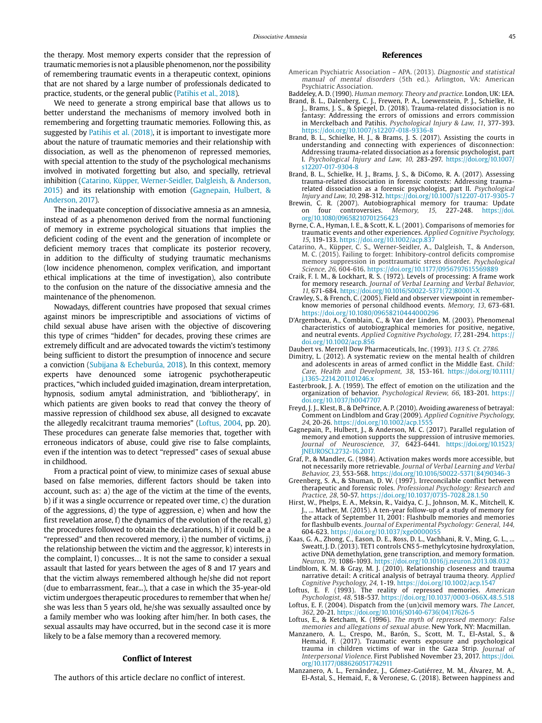the therapy. Most memory experts consider that the repression of traumatic memories is not a plausible phenomenon, nor the possibility of remembering traumatic events in a therapeutic context, opinions that are not shared by a large number of professionals dedicated to practice, students, or the general public (Patihis et al., 2018).

We need to generate a strong empirical base that allows us to better understand the mechanisms of memory involved both in remembering and forgetting traumatic memories. Following this, as suggested by Patihis et al. (2018), it is important to investigate more about the nature of traumatic memories and their relationship with dissociation, as well as the phenomenon of repressed memories, with special attention to the study of the psychological mechanisms involved in motivated forgetting but also, and specially, retrieval inhibition (Catarino, Küpper, Werner-Seidler, Dalgleish, & Anderson, 2015) and its relationship with emotion (Gagnepain, Hulbert, & Anderson, 2017).

The inadequate conception of dissociative amnesia as an amnesia, instead of as a phenomenon derived from the normal functioning of memory in extreme psychological situations that implies the deficient coding of the event and the generation of incomplete or deficient memory traces that complicate its posterior recovery, in addition to the difficulty of studying traumatic mechanisms (low incidence phenomenon, complex verification, and important ethical implications at the time of investigation), also contribute to the confusion on the nature of the dissociative amnesia and the maintenance of the phenomenon.

Nowadays, different countries have proposed that sexual crimes against minors be imprescriptible and associations of victims of child sexual abuse have arisen with the objective of discovering this type of crimes "hidden" for decades, proving these crimes are extremely difficult and are advocated towards the victim's testimony being sufficient to distort the presumption of innocence and secure a conviction (Subijana & Echeburúa, 2018). In this context, memory experts have denounced some iatrogenic psychotherapeutic practices, "which included guided imagination, dream interpretation, hypnosis, sodium amytal administration, and 'bibliotherapy', in which patients are given books to read that convey the theory of massive repression of childhood sex abuse, all designed to excavate the allegedly recalcitrant trauma memories" (Loftus, 2004, pp. 20). These procedures can generate false memories that, together with erroneous indicators of abuse, could give rise to false complaints, even if the intention was to detect "repressed" cases of sexual abuse in childhood.

From a practical point of view, to minimize cases of sexual abuse based on false memories, different factors should be taken into account, such as: a) the age of the victim at the time of the events, b) if it was a single occurrence or repeated over time, c) the duration of the aggressions, d) the type of aggression, e) when and how the first revelation arose, f) the dynamics of the evolution of the recall, g) the procedures followed to obtain the declarations, h) if it could be a "repressed" and then recovered memory, i) the number of victims, j) the relationship between the victim and the aggressor, k) interests in the complaint, l) concusses… It is not the same to consider a sexual assault that lasted for years between the ages of 8 and 17 years and that the victim always remembered although he/she did not report (due to embarrassment, fear...), that a case in which the 35-year-old victim undergoes therapeutic procedures to remember that when he/ she was less than 5 years old, he/she was sexually assaulted once by a family member who was looking after him/her. In both cases, the sexual assaults may have occurred, but in the second case it is more likely to be a false memory than a recovered memory.

#### **Conflict of Interest**

The authors of this article declare no conflict of interest.

#### **References**

- American Psychiatric Association APA. (2013). Diagnostic and statistical manual of mental disorders (5th ed.). Arlington, VA: American Psychiatric Association.
- Baddeley, A. D. (1990). Human memory. Theory and practice. London, UK: LEA.
- Brand, B. L., Dalenberg, C. J., Frewen, P. A., Loewenstein, P. J., Schielke, H. J., Brams, J. S., & Spiegel, D. (2018). Trauma-related dissociation is no fantasy: Addressing the errors of omissions and errors commission in Merckelbach and Patihis. Psychological Injury & Law, 11, 377-393. https://doi.org/10.1007/s12207-018-9336-8
- Brand, B. L., Schielke, H. J., & Brams, J. S. (2017). Assisting the courts in understanding and connecting with experiences of disconnection: Addressing trauma-related dissociation as a forensic psychologist, part I. Psychological Injury and Law, 10, 283-297. [https://doi.org/10.1007/](https://doi.org/10.1007/s12207-017-9304-8) [s12207-017-9304-8](https://doi.org/10.1007/s12207-017-9304-8)
- Brand, B. L., Schielke, H. J., Brams, J. S., & DiComo, R. A. (2017). Assessing trauma-related dissociation in forensic contexts: Addressing traumarelated dissociation as a forensic psychologist, part II. Psychological Injury and Law, 10, 298-312. https://doi.org/10.1007/s12207-017-9305-7
- Brewin, C. R. (2007). Autobiographical memory for trauma: Update on four controversies. Memory, 15, 227-248. [https://doi.](https://doi.org/10.1080/09658210701256423) [org/10.1080/09658210701256423](https://doi.org/10.1080/09658210701256423)
- Byrne, C. A., Hyman, I. E., & Scott, K. L. (2001). Comparisons of memories for traumatic events and other experiences. Applied Cognitive Psychology, 15, 119-133. https://doi.org/10.1002/acp.837
- Catarino, A., Küpper, C. S., Werner-Seidler, A., Dalgleish, T., & Anderson, M. C. (2015). Failing to forget: Inhibitory-control deficits compromise memory suppression in posttraumatic stress disorder. Psychological Science, 26, 604-616. https://doi.org/10.1177/0956797615569889
- Craik, F. I. M., & Lockhart, R. S. (1972). Levels of processing: A frame work for memory research. Journal of Verbal Learning and Verbal Behavior, 11, 671-684. [https://doi.org/10.1016/S0022-5371\(72\)80001-X](https://doi.org/10.1016/S0022-5371(72)80001-X)
- Crawley, S., & French, C. (2005). Field and observer viewpoint in rememberknow memories of personal childhood events. Memory, 13, 673-681. https://doi.org/10.1080/09658210444000296
- D'Argembeau, A., Comblain, C., & Van der Linden, M. (2003). Phenomenal characteristics of autobiographical memories for positive, negative, and neutral events. Applied Cognitive Psychology, 17, 281-294. https:// doi.org/10.1002/acp.856
- Daubert vs. Merrell Dow Pharmaceuticals, Inc. (1993). 113 S. Ct. 2786.
- Dimitry, L. (2012). A systematic review on the mental health of children and adolescents in areas of armed conflict in the Middle East. Child: Care, Health and Development, 38, 153-161. [https://doi.org/10.1111/](https://doi.org/10.1111/j.1365-2214.2011.01246.x) [j.1365-2214.2011.01246.x](https://doi.org/10.1111/j.1365-2214.2011.01246.x)
- Easterbrook, J. A. (1959). The effect of emotion on the utilization and the organization of behavior. Psychological Review, 66, 183-201. https:// doi.org/10.1037/h0047707
- Freyd, J. J., Klest, B., & DePrince, A. P. (2010). Avoiding awareness of betrayal: Comment on Lindblom and Gray (2009). Applied Cognitive Psychology, 24, 20-26. https://doi.org/10.1002/acp.1555
- Gagnepain, P., Hulbert, J., & Anderson, M. C. (2017). Parallel regulation of memory and emotion supports the suppression of intrusive memories. Journal of Neuroscience, 37, 6423-6441. [https://doi.org/10.1523/](https://doi.org/10.1523/JNEUROSCI.2732-16.2017.) [JNEUROSCI.2732-16.2017.](https://doi.org/10.1523/JNEUROSCI.2732-16.2017.)
- Graf, P., & Mandler, G. (1984). Activation makes words more accessible, but not necessarily more retrievable. Journal of Verbal Learning and Verbal Behavior, 23, 553-568. [https://doi.org/10.1016/S0022-5371\(84\)90346-3](https://doi.org/10.1016/S0022-5371(84)90346-3)
- Greenberg, S. A., & Shuman, D. W. (1997). Irreconcilable conflict between therapeutic and forensic roles. Professional Psychology: Research and Practice, 28, 50-57. https://doi.org/10.1037/0735-7028.28.1.50
- Hirst, W., Phelps, E. A., Meksin, R., Vaidya, C. J., Johnson, M. K., Mitchell, K. ... Mather, M. (2015). A ten-year follow-up of a study of memory for the attack of September 11, 2001: Flashbulb memories and memories for flashbulb events. Journal of Experimental Psychology: General, 144, 604-623. https://doi.org/10.1037/xge0000055
- Kaas, G. A., Zhong, C., Eason, D. E., Ross, D. L., Vachhani, R. V., Ming, G. L., ... Sweatt, J. D. (2013). TET1 controls CNS 5-methylcytosine hydroxylation, active DNA demethylation, gene transcription, and memory formation. Neuron, 79, 1086-1093. https://doi.org/10.1016/j.neuron.2013.08.032
- Lindblom, K. M. & Gray, M. J. (2010). Relationship closeness and trauma narrative detail: A critical analysis of betrayal trauma theory. Applied Cognitive Psychology, 24, 1-19. https://doi.org/10.1002/acp.1547 Loftus, E. F. (1993). The reality of repressed memories. American
- Psychologist, 48, 518-537. https://doi.org/10.1037/0003-066X.48.5.518 Loftus, E. F. (2004). Dispatch from the (un)civil memory wars. The Lancet,
- 362, 20-21. [https://doi.org/10.1016/S0140-6736\(04\)17626-5](https://doi.org/10.1016/S0140-6736(04)17626-5) Loftus, E., & Ketcham, K. (1996). The myth of repressed memory: False
- memories and allegations of sexual abuse. New York, NY: Macmillan. Manzanero, A. L., Crespo, M., Barón, S., Scott, M. T., El-Astal, S., &
- Hemaid, F. (2017). Traumatic events exposure and psychological trauma in children victims of war in the Gaza Strip. Journal of Interpersonal Violence. First Published November 23, 2017. [https://doi.](https://doi.org/10.1177/0886260517742911) [org/10.1177/0886260517742911](https://doi.org/10.1177/0886260517742911)
- Manzanero, A. L., Fernández, J., Gómez-Gutiérrez, M. M., Álvarez, M. A., El-Astal, S., Hemaid, F., & Veronese, G. (2018). Between happiness and